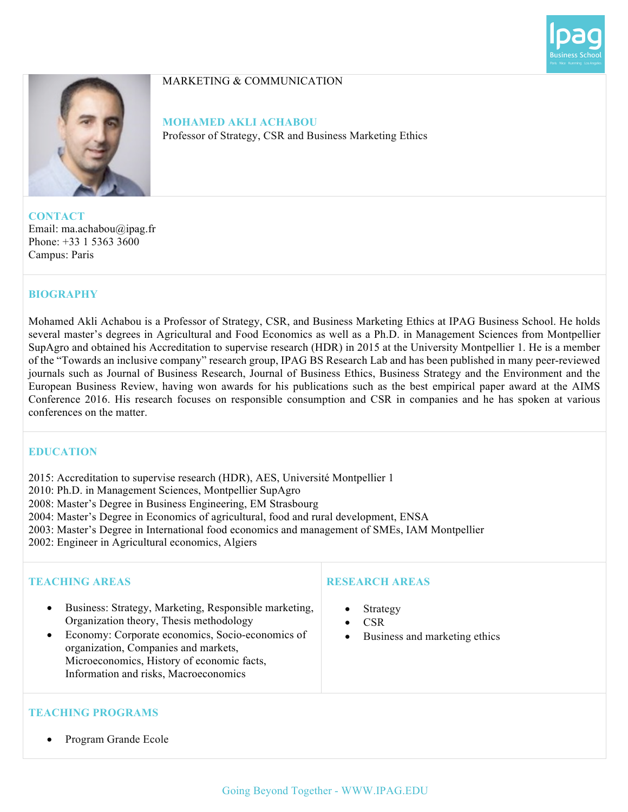



#### MARKETING & COMMUNICATION

**MOHAMED AKLI ACHABOU** Professor of Strategy, CSR and Business Marketing Ethics

**CONTACT** Email: ma.achabou@ipag.fr Phone: +33 1 5363 3600 Campus: Paris

## **BIOGRAPHY**

Mohamed Akli Achabou is a Professor of Strategy, CSR, and Business Marketing Ethics at IPAG Business School. He holds several master's degrees in Agricultural and Food Economics as well as a Ph.D. in Management Sciences from Montpellier SupAgro and obtained his Accreditation to supervise research (HDR) in 2015 at the University Montpellier 1. He is a member of the "Towards an inclusive company" research group, IPAG BS Research Lab and has been published in many peer-reviewed journals such as Journal of Business Research, Journal of Business Ethics, Business Strategy and the Environment and the European Business Review, having won awards for his publications such as the best empirical paper award at the AIMS Conference 2016. His research focuses on responsible consumption and CSR in companies and he has spoken at various conferences on the matter.

## **EDUCATION**

2015: Accreditation to supervise research (HDR), AES, Université Montpellier 1

2010: Ph.D. in Management Sciences, Montpellier SupAgro

2008: Master's Degree in Business Engineering, EM Strasbourg

2004: Master's Degree in Economics of agricultural, food and rural development, ENSA

- 2003: Master's Degree in International food economics and management of SMEs, IAM Montpellier
- 2002: Engineer in Agricultural economics, Algiers

## **TEACHING AREAS**

- Business: Strategy, Marketing, Responsible marketing, Organization theory, Thesis methodology
- Economy: Corporate economics, Socio-economics of organization, Companies and markets, Microeconomics, History of economic facts, Information and risks, Macroeconomics

## **RESEARCH AREAS**

- **Strategy**
- CSR
- Business and marketing ethics

# **TEACHING PROGRAMS**

• Program Grande Ecole